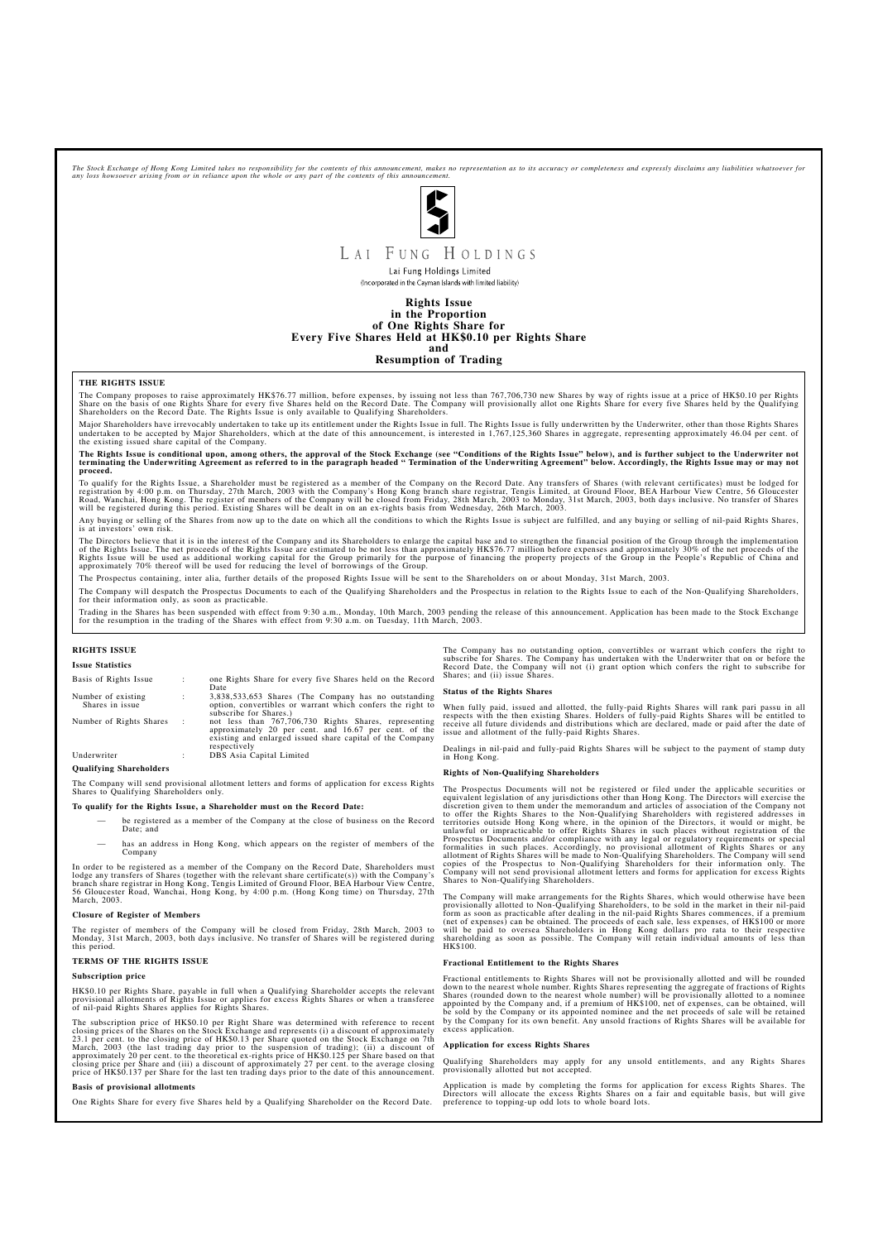The Stock Exchange of Hong Kong Limited takes no responsibility for the contents of this announcement, makes no representation as to its accuracy or completeness and expressly disclaims any liabilities whatsoever for<br>any l



# LAI FUNG HOLDINGS

Lai Fung Holdings Limited (Incorporated in the Cayman Islands with limited liability)

**Rights Issue in the Proportion of One Rights Share for Every Five Shares Held at HK\$0.10 per Rights Share and**

**Resumption of Trading**

## **THE RIGHTS ISSUE**

The Company proposes to raise approximately HK\$76.77 million, before expenses, by issuing not less than 767,706,730 new Shares by way of rights issue at a price of HK\$0.10 per Rights<br>Share on the basis of one Rights Share

Major Shareholders have irrevocably undertaken to take up its entitlement under the Rights Issue in full. The Rights Issue is fully underwritten by the Underwriter, other than those Rights Shares undertaken to be accepted by Major Shareholders, which at the date of this announcement, is interested in 1,767,125,360 Shares in aggregate, representing approximately 46.04 per cent. of the existing issued share capital of the Company.

## The Rights Issue is conditional upon, among others, the approval of the Stock Exchange (see "Conditions of the Rights Issue" below), and is further subject to the Underwriter not<br>terminating the Underwriting Agreement as r **proceed.**

To qualify for the Rights Issue, a Shareholder must be registered as a member of the Company on the Record Date. Any transfers of Shares (with relevant certificates) must be lodged for<br>registration by 4:00 p.m. on Thursday Road, Wanchai, Hong Kong. The register of members of the Company will be closed from Friday, 28th March, 2003 to Monday, 31st March, 2003, both days inclusive. No transfer of Shares will be registered during this period. Existing Shares will be dealt in on an ex-rights basis from Wednesday, 26th March, 2003.

Any buying or selling of the Shares from now up to the date on which all the conditions to which the Rights Issue is subject are fulfilled, and any buying or selling of nil-paid Rights Shares, is at investors' own risk.

The Directors believe that it is in the interest of the Company and its Shareholders to enlarge the capital base and to strengthen the financial position of the Group through the implementation<br>of the Rights Issue. The net Rights Issue will be used as additional working capital for the Group primarily for the purpose of financing the property projects of the Group in the People's Republic of China and<br>approximately 70% thereof will be used f

The Prospectus containing, inter alia, further details of the proposed Rights Issue will be sent to the Shareholders on or about Monday, 31st March, 2003.

The Company will despatch the Prospectus Documents to each of the Qualifying Shareholders and the Prospectus in relation to the Rights Issue to each of the Non-Qualifying Shareholders, for their information only, as soon as practicable.

Trading in the Shares has been suspended with effect from 9:30 a.m., Monday, 10th March, 2003 pending the release of this announcement. Application has been made to the Stock Exchange<br>for the resumption in the trading of t

When fully paid, issued and allotted, the fully-paid Rights Shares will rank pari passu in all<br>respects with the then existing Shares. Holders of fully-paid Rights Shares will be entitled to<br>receive all future dividends an issue and allotment of the fully-paid Rights Shares.

## **RIGHTS ISSUE**

## **Issue Statistics**

The Prospectus Documents will not be registered or filed under the applicable securities or<br>equivalent legislation of any jurisdictions other than Hong Kong. The Directors will exercise the<br>discretion given to them under t to offer the Rights Shares to the Non-Qualifying Shareholders with registered addresses in<br>territories outside Hong Kong where, in the opinion of the Directors, it would or might, be<br>unlawful or impracticable to offer Righ Shares to Non-Qualifying Shareholders.

| Basis of Rights Issue                 | ÷              | one Rights Share for every five Shares held on the Record<br>Date                                                                                                                           |
|---------------------------------------|----------------|---------------------------------------------------------------------------------------------------------------------------------------------------------------------------------------------|
| Number of existing<br>Shares in issue | ÷              | 3,838,533,653 Shares (The Company has no outstanding<br>option, convertibles or warrant which confers the right to<br>subscribe for Shares.)                                                |
| Number of Rights Shares               | $\mathbb{R}^2$ | not less than 767,706,730 Rights Shares, representing<br>approximately 20 per cent. and 16.67 per cent. of the<br>existing and enlarged issued share capital of the Company<br>respectively |
| Underwriter                           | ٠              | DBS Asia Capital Limited                                                                                                                                                                    |

## **Qualifying Shareholders**

The Company will send provisional allotment letters and forms of application for excess Rights Shares to Qualifying Shareholders only.

## **To qualify for the Rights Issue, a Shareholder must on the Record Date:**

- be registered as a member of the Company at the close of business on the Record Date; and
- has an address in Hong Kong, which appears on the register of members of the Company

In order to be registered as a member of the Company on the Record Date, Shareholders must lodge any transfers of Shares (together with the relevant share certificate(s)) with the Company's branch share registrar in Hong Kong, Tengis Limited of Ground Floor, BEA Harbour View Centre, 56 Gloucester Road, Wanchai, Hong Kong, by 4:00 p.m. (Hong Kong time) on Thursday, 27th March, 2003.

## **Closure of Register of Members**

The register of members of the Company will be closed from Friday, 28th March, 2003 to

Monday, 31st March, 2003, both days inclusive. No transfer of Shares will be registered during this period.

## **TERMS OF THE RIGHTS ISSUE**

## **Subscription price**

HK\$0.10 per Rights Share, payable in full when a Qualifying Shareholder accepts the relevant provisional allotments of Rights Issue or applies for excess Rights Shares or when a transferee of nil-paid Rights Shares applies for Rights Shares.

The subscription price of HK\$0.10 per Right Share was determined with reference to recent closing prices of the Shares on the Stock Exchange and represents (i) a discount of approximately 23.1 per cent. to the closing price of HK\$0.13 per Share quoted on the Stock Exchange on 7th March, 2003 (the last trading day prior to the suspension of trading); (ii) a discount of approximately 20 per cent. to the theoretical ex-rights price of HK\$0.125 per Share based on that closing price per Share and (iii) a discount of approximately 27 per cent. to the average closing price of HK\$0.137 per Share for the last ten trading days prior to the date of this announcement.

## **Basis of provisional allotments**

One Rights Share for every five Shares held by a Qualifying Shareholder on the Record Date.

The Company has no outstanding option, convertibles or warrant which confers the right to subscribe for Shares. The Company has undertaken with the Underwriter that on or before the Record Date, the Company will not (i) grant option which confers the right to subscribe for Shares; and (ii) issue Shares.

#### **Status of the Rights Shares**

Dealings in nil-paid and fully-paid Rights Shares will be subject to the payment of stamp duty in Hong Kong.

#### **Rights of Non-Qualifying Shareholders**

The Company will make arrangements for the Rights Shares, which would otherwise have been provisionally allotted to Non-Qualifying Shareholders, to be sold in the market in their nil-paid<br>form as soon as practicable after dealing in the nil-paid Rights Shares commences, if a premium<br>(net of expenses) can be obt will be paid to oversea Shareholders in Hong Kong dollars pro rata to their respective shareholding as soon as possible. The Company will retain individual amounts of less than HK\$100.

## **Fractional Entitlement to the Rights Shares**

Fractional entitlements to Rights Shares will not be provisionally allotted and will be rounded down to the nearest whole number. Rights Shares representing the aggregate of fractions of Rights Shares (rounded down to the nearest whole number) will be provisionally allotted to a nominee appointed by the Company and, if a premium of HK\$100, net of expenses, can be obtained, will be sold by the Company or its appointed nominee and the net proceeds of sale will be retained by the Company for its own benefit. Any unsold fractions of Rights Shares will be available for excess application.

## **Application for excess Rights Shares**

Qualifying Shareholders may apply for any unsold entitlements, and any Rights Shares provisionally allotted but not accepted.

Application is made by completing the forms for application for excess Rights Shares. The Directors will allocate the excess Rights Shares on a fair and equitable basis, but will give preference to topping-up odd lots to whole board lots.